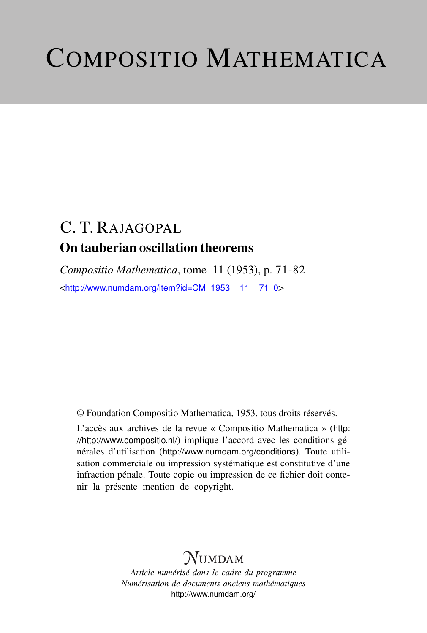# COMPOSITIO MATHEMATICA

# C. T. RAJAGOPAL On tauberian oscillation theorems

*Compositio Mathematica*, tome 11 (1953), p. 71-82 <[http://www.numdam.org/item?id=CM\\_1953\\_\\_11\\_\\_71\\_0](http://www.numdam.org/item?id=CM_1953__11__71_0)>

© Foundation Compositio Mathematica, 1953, tous droits réservés.

L'accès aux archives de la revue « Compositio Mathematica » ([http:](http://http://www.compositio.nl/) [//http://www.compositio.nl/](http://http://www.compositio.nl/)) implique l'accord avec les conditions générales d'utilisation (<http://www.numdam.org/conditions>). Toute utilisation commerciale ou impression systématique est constitutive d'une infraction pénale. Toute copie ou impression de ce fichier doit contenir la présente mention de copyright.

# $\mathcal{N}$ umdam

*Article numérisé dans le cadre du programme Numérisation de documents anciens mathématiques* <http://www.numdam.org/>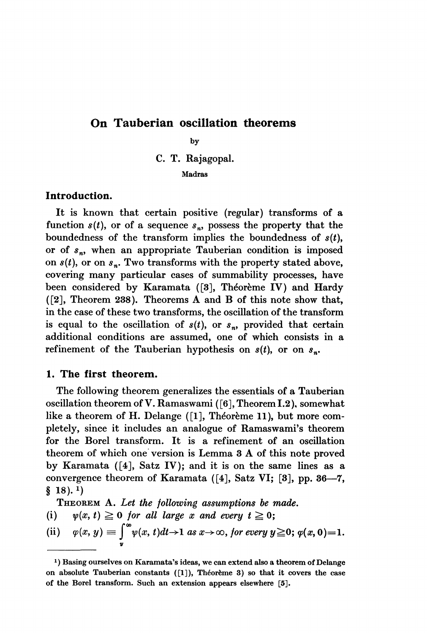# On Tauberian oscillation theorems

by

C. T. Rajagopal.

Madras

# Introduction.

It is known that certain positive (regular) transforms of a function  $s(t)$ , or of a sequence  $s_n$ , possess the property that the boundedness of the transform implies the boundedness of  $s(t)$ , or of  $s_n$ , when an appropriate Tauberian condition is imposed on  $s(t)$ , or on  $s_n$ . Two transforms with the property stated above, covering many particular cases of summability processes, have been considered by Karamata ([3], Théorème IV) and Hardy ([2], Theorem 238). Theorems A and B of this note show that, in the case of these two transforms, the oscillation of the transform is equal to the oscillation of  $s(t)$ , or  $s_n$ , provided that certain additional conditions are assumed, one of which consists in a refinement of the Tauberian hypothesis on  $s(t)$ , or on  $s_n$ .

# 1. The first theorem.

The following theorem generalizes the essentials of a Tauberian oscillation theorem of V. Ramaswami ( [6], Theorem 1.2). somewhat like a theorem of H. Delange ([1], Théorème 11 ), but more completely, since it includes an analogue of Ramaswami's theorem for the Borel transform. It is a refinement of an oscillation theorem of which one version is Lemma 3 A of this note proved by Karamata ([4], Satz IV); and it is on the same lines as a convergence theorem of Karamata ([4], Satz VI; [3], pp. 36-7,  $§$  18).<sup>1</sup>)

THEOREM A. Let the following assumptions be made.

(i)  $\psi(x, t) \geq 0$  for all large x and every  $t \geq 0$ ;

(ii) 
$$
\varphi(x, y) \equiv \int_{y}^{\infty} \psi(x, t) dt \rightarrow 1
$$
 as  $x \rightarrow \infty$ , for every  $y \ge 0$ ;  $\varphi(x, 0) = 1$ .

<sup>1)</sup> Basing ourselves on Karamata's ideas, we can extend also a theorem of Delange on absolute Tauberian constants ([1]), Théorème 3) so that it covers the case of the Borel transform. Such an extension appears elsewhere [5].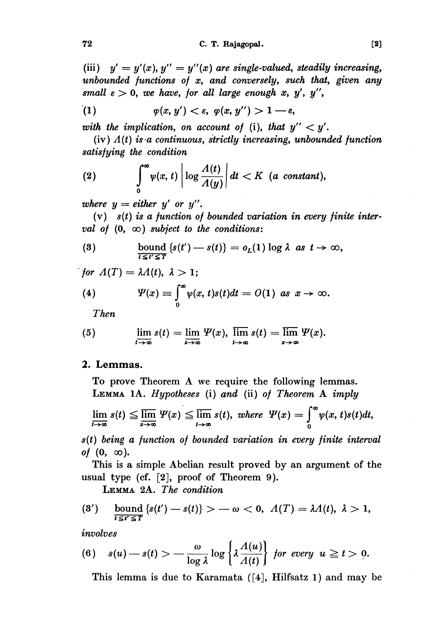(iii)  $y' = y'(x)$ ,  $y'' = y''(x)$  are single-valued, steadily increasing, unbounded functions of  $x$ , and conversely, such that, given any small  $\varepsilon > 0$ , we have, for all large enough x, y', y'',

$$
(1) \t\t\t \varphi(x,y') < \varepsilon, \; \varphi(x,y'') > 1 - \varepsilon,
$$

with the implication, on account of (i), that  $y'' < y'$ .

(iv)  $A(t)$  is a continuous, strictly increasing, unbounded function satisfying the condition

(2) 
$$
\int_{0}^{\infty} \psi(x, t) \left| \log \frac{\Lambda(t)}{\Lambda(y)} \right| dt < K \text{ (a constant)},
$$

where  $y = either y'$  or  $y''$ .

 $(v)$   $s(t)$  is a function of bounded variation in every finite interval of  $(0, \infty)$  subject to the conditions:

(3) 
$$
\text{bound } \{s(t') - s(t)\} = o_L(1) \log \lambda \text{ as } t \to \infty,
$$

*for*  $\Lambda(T) = \lambda \Lambda(t), \lambda > 1;$ 

(4) 
$$
\Psi(x) \equiv \int_{0}^{\infty} \psi(x, t) s(t) dt = O(1) \text{ as } x \to \infty.
$$

Then

(5) 
$$
\lim_{t\to\infty} s(t) = \lim_{x\to\infty} \Psi(x), \ \lim_{t\to\infty} s(t) = \lim_{x\to\infty} \Psi(x).
$$

# 2. Lemmas.

To prove Theorem A we require the following lemmas. LEMMA lA. Hypotheses (i) and (ii) of Theorem A imply

$$
\lim_{t\to\infty} s(t) \leqq \overline{\lim}_{x\to\infty} \Psi(x) \leqq \overline{\lim}_{t\to\infty} s(t), \text{ where } \Psi(x) = \int_{0}^{\infty} \psi(x,t)s(t)dt,
$$

 $s(t)$  being a function of bounded variation in every finite interval of  $(0, \infty)$ .

This is a simple Abelian result proved by an argument of the usual type (cf. [2], proof of Theorem 9).

LEMMA 2A. The condition

$$
(3') \quad \text{bound } \{s(t') - s(t)\} > -\omega < 0, \ \Lambda(T) = \lambda \Lambda(t), \ \lambda > 1,
$$

involves

(6) 
$$
s(u) - s(t) > -\frac{\omega}{\log \lambda} \log \left\{ \lambda \frac{\Lambda(u)}{\Lambda(t)} \right\}
$$
 for every  $u \ge t > 0$ .

This lemma is due to Karamata ( [4], Hilfsatz 1) and may be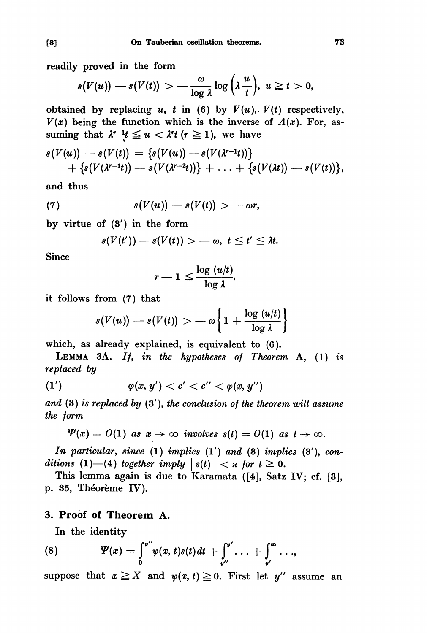readily proved in the form

$$
s(V(u)) - s(V(t)) > -\frac{\omega}{\log \lambda} \log \left(\lambda \frac{u}{t}\right), u \geq t > 0,
$$

obtained by replacing u, t in (6) by  $V(u)$ ,  $V(t)$  respectively,  $V(x)$  being the function which is the inverse of  $\Lambda(x)$ . For, assuming that  $\lambda^{r-1}t \leq u < \lambda^{r}t$  ( $r \geq 1$ ), we have

$$
s(V(u)) - s(V(t)) = \{s(V(u)) - s(V(\lambda^{r-1}t))\} + \{s(V(\lambda^{r-1}t)) - s(V(\lambda^{r-2}t))\} + \ldots + \{s(V(\lambda t)) - s(V(t))\},
$$

and thus

(7) 
$$
s(V(u)) - s(V(t)) > -\omega r,
$$

by virtue of  $(3')$  in the form

$$
s(V(t')) - s(V(t)) > -\omega, \ t \leq t' \leq \lambda t
$$

Since

$$
r-1 \leq \frac{\log (u/t)}{\log \lambda}
$$

it follows from (7) that

$$
s(V(u)) - s(V(t)) > -\omega \left\{ 1 + \frac{\log(u/t)}{\log \lambda} \right\}
$$

which, as already explained, is equivalent to (6).

LEMMA 3A. If, in the hypotheses of Theorem A,  $(1)$  is replaced by

(1') 
$$
\varphi(x, y') < c' < c'' < \varphi(x, y'')
$$

and  $(3)$  is replaced by  $(3')$ , the conclusion of the theorem will assume the form

$$
\Psi(x) = O(1) \text{ as } x \to \infty \text{ involves } s(t) = O(1) \text{ as } t \to \infty.
$$

In particular, since  $(1)$  implies  $(1')$  and  $(3)$  implies  $(3')$ , conditions (1)–(4) together imply  $|s(t)| < \kappa$  for  $t \ge 0$ .

This lemma again is due to Karamata ([4], Satz IV; cf. [3], p. 35, Théorème IV).

## 3. Proof of Theorem A.

In the identity

(8) 
$$
\Psi(x) = \int_0^{\mathbf{v}''} \psi(x, t) s(t) dt + \int_{\mathbf{v}''}^{\mathbf{v}'} \dots + \int_{\mathbf{v}'}^{\infty} \dots,
$$

suppose that  $x \ge X$  and  $\psi(x, t) \ge 0$ . First let y" assume an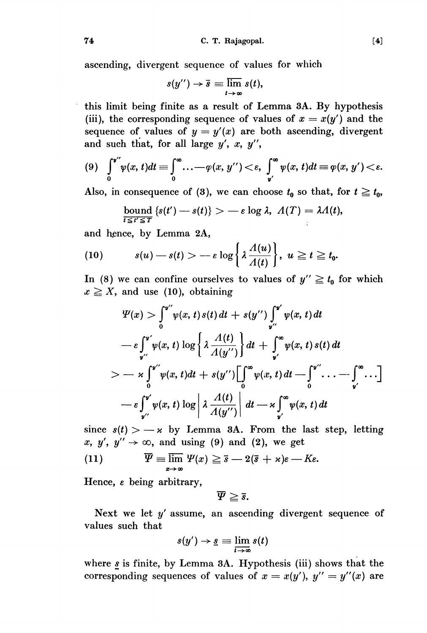$[4]$ 

ascending, divergent sequence of values for which

$$
s(y'')\to\overline{s}\equiv\varlimsup_{t\to\infty}s(t),
$$

. this limit being finite as a result of Lemma 3A. By hypothesis (iii), the corresponding sequence of values of  $x = x(y')$  and the sequence of values of  $y = y'(x)$  are both ascending, divergent and such that, for all large  $y'$ ,  $x$ ,  $y''$ ,

$$
(9) \quad \int_0^{\mathbf{v}''} \psi(x,t) dt \equiv \int_0^\infty \ldots -\varphi(x,\,y'') < \varepsilon, \ \int_{\mathbf{v}'}^\infty \psi(x,\,t) dt \equiv \varphi(x,\,y') < \varepsilon.
$$

Also, in consequence of (3), we can choose  $t_0$  so that, for  $t \geq t_0$ ,

bound 
$$
\{s(t') - s(t)\} > -\varepsilon \log \lambda
$$
,  $\Lambda(T) = \lambda \Lambda(t)$ ,

and hence, by Lemma 2A,

(10) 
$$
s(u) - s(t) > -\varepsilon \log \left\{ \lambda \frac{\Lambda(u)}{\Lambda(t)} \right\}, \ u \geq t \geq t_0.
$$

In (8) we can confine ourselves to values of  $y'' \ge t_0$  for which  $x \geq X$ , and use (10), obtaining

$$
\Psi(x) > \int_0^{y''} \psi(x, t) s(t) dt + s(y'') \int_{y''}^{y'} \psi(x, t) dt
$$
  
\n
$$
- \varepsilon \int_{y''}^{y'} \psi(x, t) \log \left\{ \lambda \frac{\Lambda(t)}{\Lambda(y'')} \right\} dt + \int_{y'}^{\infty} \psi(x, t) s(t) dt
$$
  
\n
$$
> - \varepsilon \int_0^{y''} \psi(x, t) dt + s(y'') \Big[ \int_0^{\infty} \psi(x, t) dt - \int_0^{y''} \dots - \int_{y'}^{\infty} \dots \Big]
$$
  
\n
$$
- \varepsilon \int_{y''}^{y'} \psi(x, t) \log \left| \lambda \frac{\Lambda(t)}{\Lambda(y'')} \right| dt - \varepsilon \int_{y'}^{\infty} \psi(x, t) dt
$$

since  $s(t) > -\kappa$  by Lemma 3A. From the last step, letting x, y',  $y'' \rightarrow \infty$ , and using (9) and (2), we get

(11) 
$$
\overline{\Psi} \equiv \overline{\lim}_{x \to \infty} \Psi(x) \geq \overline{s} - 2(\overline{s} + x)\varepsilon - K\varepsilon.
$$

Hence,  $\varepsilon$  being arbitrary,

$$
\overline{\varPsi} \geqq \overline{s}.
$$

Next we let  $y'$  assume, an ascending divergent sequence of values such that

$$
s(y') \to \underline{s} \equiv \lim_{t \to \infty} s(t)
$$

where  $s$  is finite, by Lemma 3A. Hypothesis (iii) shows that the corresponding sequences of values of  $x = x(y')$ ,  $y'' = y''(x)$  are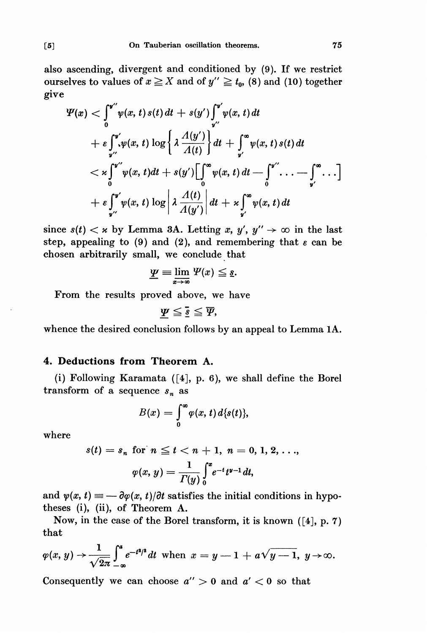also ascending, divergent and conditioned by (9). If we restrict ourselves to values of  $x \ge X$  and of  $y'' \ge t_0$ , (8) and (10) together give

$$
\Psi(x) < \int_0^{\nu''} \psi(x, t) s(t) dt + s(y') \int_{\nu''}^{\nu'} \psi(x, t) dt
$$
  
+  $\varepsilon \int_{\nu''}^{\nu'} \psi(x, t) \log \left\{ \lambda \frac{A(y')}{A(t)} \right\} dt + \int_{\nu'}^{\infty} \psi(x, t) s(t) dt$   
<  $\times \int_0^{\nu''} \psi(x, t) dt + s(y') \Big[ \int_0^{\infty} \psi(x, t) dt - \int_0^{\nu''} \dots - \int_{\nu'}^{\infty} \dots \Big]$   
+  $\varepsilon \int_{\nu''}^{\nu'} \psi(x, t) \log \left| \lambda \frac{A(t)}{A(y')} \right| dt + \varepsilon \int_{\nu'}^{\infty} \psi(x, t) dt$ 

since  $s(t) < \kappa$  by Lemma 3A. Letting x, y',  $y'' \to \infty$  in the last step, appealing to (9) and (2), and remembering that  $\varepsilon$  can be chosen arbitrarily small, we conclude that

$$
\underline{\underline{\mathbf{\Psi}}} \equiv \lim_{x \to \infty} \Psi(x) \leq \underline{s}.
$$

From the results proved above, we have

$$
\underline{\varPsi} \leq \overline{\underline{s}} \leq \overline{\varPsi},
$$

whence the desired conclusion follows by an appeal to Lemma lA.

## 4. Deductions from Theorem A.

(i) Following Karamata ([4], p. 6), we shall define the Borel transform of a sequence  $s_n$  as

$$
B(x)=\int_{0}^{\infty}\varphi(x,t)\,d\{s(t)\},
$$

where

$$
s(t) = s_n \text{ for } n \leq t < n + 1, n = 0, 1, 2, ...,
$$

$$
\varphi(x, y) = \frac{1}{\Gamma(y)} \int_0^x e^{-t} t^{y-1} dt,
$$

and  $\psi(x, t) \equiv -\partial \varphi(x, t)/\partial t$  satisfies the initial conditions in hypotheses (i), (ii), of Theorem A.

Now, in the case of the Borel transform, it is known ([4], p. 7) that

$$
\varphi(x, y) \rightarrow \frac{1}{\sqrt{2\pi}} \int_{-\infty}^{a} e^{-t^2/2} dt \text{ when } x = y - 1 + a\sqrt{y - 1}, y \rightarrow \infty.
$$

Consequently we can choose  $a'' > 0$  and  $a' < 0$  so that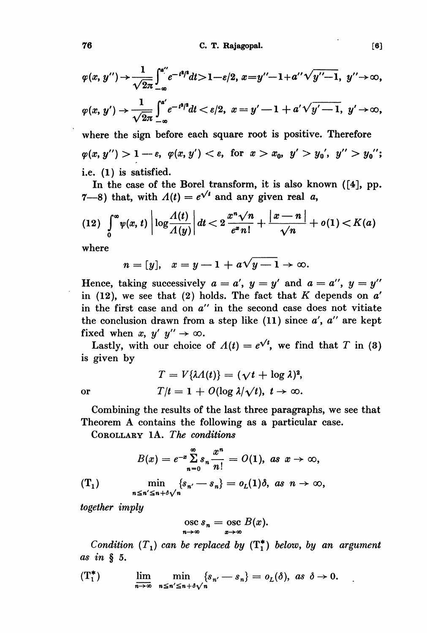C. T. Rajagopal.

$$
\varphi(x, y'') \rightarrow \frac{1}{\sqrt{2\pi}} \int_{-\infty}^{a''} e^{-t^2t^2} dt > 1 - \varepsilon/2, \ x = y'' - 1 + a'' \sqrt{y'' - 1}, \ y'' \rightarrow \infty,
$$

$$
\varphi(x,\,y')\rightarrow\frac{1}{\sqrt{2\pi}}\int_{-\infty}^{a'}e^{-t^2/2}dt<\varepsilon/2,\,\,x=y'-1+a'\sqrt{y'-1},\,\,y'\rightarrow\infty,
$$

where the sign before each square root is positive. Therefore  $\varphi(x, y'') > 1 - \varepsilon$ ,  $\varphi(x, y') < \varepsilon$ , for  $x > x_0$ ,  $y' > y_0'$ ,  $y'' > y_0''$ ; i.e. (1) is satisfied.

In the case of the Borel transform, it is also known ([4], pp. 7-8) that, with  $\Lambda(t) = e^{\sqrt{t}}$  and any given real a,

$$
(12)\int_{0}^{\infty} \psi(x, t) \left| \log \frac{A(t)}{A(y)} \right| dt < 2 \frac{x^{n} \sqrt{n}}{e^{x} n!} + \frac{|x - n|}{\sqrt{n}} + o(1) < K(a)
$$

where

$$
n = [y], \quad x = y - 1 + a\sqrt{y - 1} \to \infty
$$

Hence, taking successively  $a = a'$ ,  $y = y'$  and  $a = a''$ ,  $y = y''$ in (12), we see that (2) holds. The fact that  $K$  depends on  $a'$ in the first case and on a" in the second case does not vitiate the conclusion drawn from a step like (11) since  $a'$ ,  $a''$  are kept fixed when x,  $y'$   $y'' \rightarrow \infty$ .

Lastly, with our choice of  $\Lambda(t) = e^{\sqrt{t}}$ , we find that T in (3) is given by

or

$$
T = V\{\lambda A(t)\} = (\sqrt{t} + \log \lambda)^2,
$$
  
\n
$$
T/t = 1 + O(\log \lambda/\sqrt{t}), t \to \infty.
$$

Combining the results of the last three paragraphs, we see that Theorem A contains the following as a particular case.

COROLLARY lA. The conditions

$$
B(x) = e^{-x} \sum_{n=0}^{\infty} s_n \frac{x^n}{n!} = O(1), \text{ as } x \to \infty,
$$
  
(T<sub>1</sub>) 
$$
\min_{n \le n' \le n + \delta \sqrt{n}} \{s_{n'} - s_n\} = o_L(1)\delta, \text{ as } n \to \infty,
$$

together imply

$$
\operatorname*{osc}_{n\to\infty} s_n = \operatorname*{osc}_{x\to\infty} B(x).
$$

Condition  $(T_1)$  can be replaced by  $(T_1^*)$  below, by an argument as in § 5.

$$
(\mathbf{T}_1^*) \qquad \lim_{n \to \infty} \min_{n \leq n' \leq n + \delta \sqrt{n}} \{s_{n'} - s_n\} = o_L(\delta), \text{ as } \delta \to 0.
$$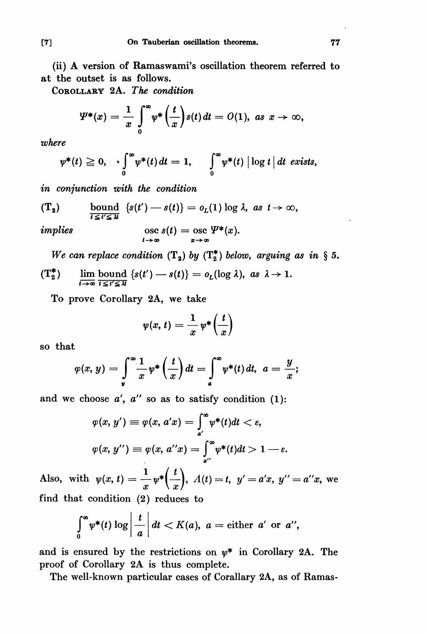(ii) A version of Ramaswami's oscillation theorem referred to at the outset is as follows.

COROLLARY 2A. The condition

$$
\Psi^*(x)=\frac{1}{x}\int\limits_0^\infty\psi^*\left(\frac{t}{x}\right)s(t)\,dt=O(1),\,\,as\,\,x\to\infty,
$$

where

$$
\psi^*(t) \geqq 0, \quad \int_0^\infty \psi^*(t) \, dt = 1, \quad \int_0^\infty \psi^*(t) \, \Big| \log t \, \Big| \, dt \, \text{ exists,}
$$

in conjunetion with the condition

$$
(\mathbf{T_2}) \quad \text{bound} \quad \{s(t') - s(t)\} = o_L(1) \log \lambda, \text{ as } t \to \infty,
$$

implies 
$$
\operatorname*{osc}_{t\to\infty} s(t) = \operatorname*{osc}_{x\to\infty} \Psi^*(x).
$$

We can replace condition  $(T_2)$  by  $(T_2^*)$  below, arguing as in § 5.

$$
(\mathbf{T}_2^*) \quad \lim_{t \to \infty} \text{bound } \{s(t') - s(t)\} = o_L(\log \lambda), \text{ as } \lambda \to 1
$$

To prove Corollary 2A, we take

$$
\psi(x,\,t)=\frac{1}{x}\,\psi^*\bigg(\frac{t}{x}\bigg)
$$

so that

$$
\varphi(x,\,y)=\int\limits_{\mathbf{y}}^{\infty}\frac{1}{x}\,\psi^*\left(\frac{t}{x}\right)dt=\int\limits_{a}^{\infty}\psi^*(t)\,dt,\ \ a=\frac{y}{x};
$$

and we choose  $a'$ ,  $a''$  so as to satisfy condition (1):

$$
\varphi(x, y') \equiv \varphi(x, a'x) = \int_{a'}^{\infty} \psi^*(t)dt < \varepsilon,
$$
\n
$$
\varphi(x, y'') \equiv \varphi(x, a''x) = \int_{a''}^{\infty} \psi^*(t)dt > 1 - \varepsilon.
$$

Also, with  $\psi(x, t) = \frac{1}{x} \psi^* \left( \frac{t}{x} \right)$ ,  $\Lambda(t) = t$ ,  $y' = a'x$ ,  $y'' = a''x$ , we find that condition (2) reduces to

$$
\int_{0}^{\infty} \psi^*(t) \log \left| \frac{t}{a} \right| dt < K(a), \ a = \text{either} \ a' \ \text{or} \ a'',
$$

and is ensured by the restrictions on  $\psi^*$  in Corollary 2A. The proof of Corollary 2A is thus complete.

The well-known particular cases of Corallary 2A, as of Ramas-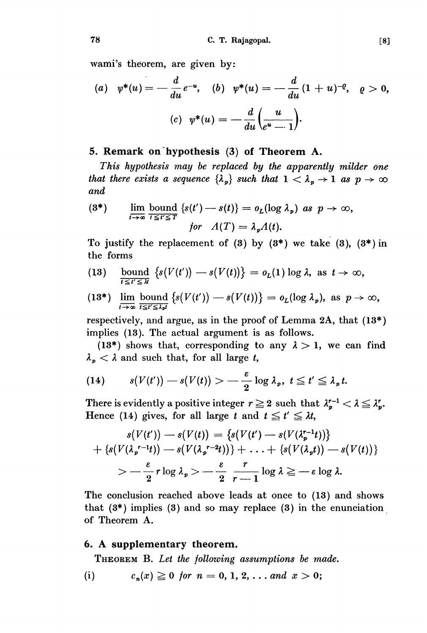wami's theorem, are given by:

(a) 
$$
\psi^*(u) = -\frac{d}{du}e^{-u}
$$
, (b)  $\psi^*(u) = -\frac{d}{du}(1+u)^{-\varrho}$ ,  $\varrho > 0$ ,  
(c)  $\psi^*(u) = -\frac{d}{du}(\frac{u}{e^u - 1})$ .

### 5. Remark on hypothesis (3) of Theorem A.

This hypothesis may be replaced by the apparently milder one that there exists a sequence  $\{\lambda_p\}$  such that  $1 < \lambda_p \rightarrow 1$  as  $p \rightarrow \infty$ and

(3\*) 
$$
\lim_{t \to \infty} \frac{\text{bound}}{t \leq t' \leq T} \left\{ s(t') - s(t) \right\} = o_L(\log \lambda_p) \text{ as } p \to \infty,
$$
  
for  $A(T) = \lambda_p A(t)$ .

To justify the replacement of (3) by  $(3^*)$  we take  $(3)$ ,  $(3^*)$  in

- the forms<br>
(13) bound  $\{s(V(t')) s(V(t))\} = o_L(1) \log \lambda$ , as  $t \to \infty$ ,<br>  $t \to \infty$ ,  $(13)$
- (13\*)  $\lim_{t\to\infty}$  bound  $\{s(V(t'))-s(V(t))\}=o_L(\log\lambda_p)$ , as  $p\to\infty$ ,

respectively, and argue, as in the proof of Lemma 2A, that (13\*) implies (13). The actual argument is as follows.

(13\*) shows that, corresponding to any  $\lambda > 1$ , we can find  $\lambda_p < \lambda$  and such that, for all large t,

(14) 
$$
s(V(t')) - s(V(t)) > -\frac{\varepsilon}{2} \log \lambda_p, t \leq t' \leq \lambda_p t.
$$

There is evidently a positive integer  $r \geq 2$  such that  $\lambda_p^{r-1} < \lambda \leq \lambda_p^r$ . Hence (14) gives, for all large t and  $t \leq t' \leq \lambda t$ ,

$$
s(V(t')) - s(V(t)) = \{s(V(t') - s(V(\lambda_{p}^{r-1}t))\}
$$
  
+ 
$$
\{s(V(\lambda_{p}^{r-1}t)) - s(V(\lambda_{p}^{r-2}t))\} + \ldots + \{s(V(\lambda_{p}t)) - s(V(t))\}
$$
  
> 
$$
- \frac{\varepsilon}{2} r \log \lambda_{p} > - \frac{\varepsilon}{2} \frac{r}{r-1} \log \lambda \ge -\varepsilon \log \lambda.
$$

The conclusion reached above leads at once to (13) and shows that  $(3^*)$  implies  $(3)$  and so may replace  $(3)$  in the enunciation of Theorem A.

#### 6. A supplementary theorem.

THEOREM B. Let the following assumptions be made.

 $c_n(x) \ge 0$  for  $n = 0, 1, 2, \ldots$  and  $x > 0$ ;  $(i)$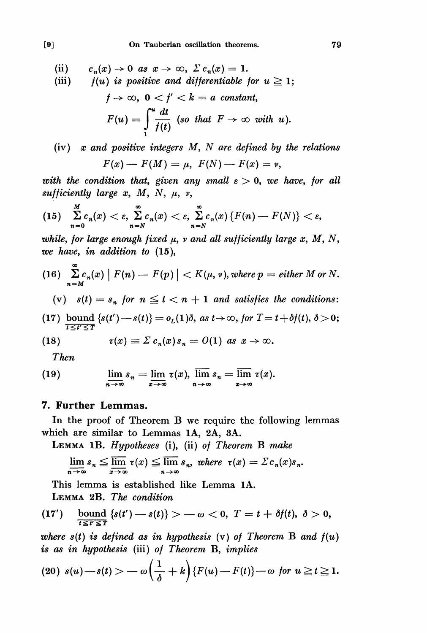- (ii)  $c_n(x) \to 0$  as  $x \to \infty$ ,  $\sum c_n(x) = 1$ .
- (iii)  $f(u)$  is positive and differentiable for  $u \ge 1$ ;  $t\rightarrow\infty$ ,  $0 < t' < k = a$  constant.

$$
F(u) = \int_{1}^{u} \frac{dt}{f(t)} \text{ (so that } F \to \infty \text{ with } u\text{).}
$$

(iv)  $x$  and positive integers  $M$ ,  $N$  are defined by the relations  $F(x) - F(M) = \mu$ ,  $F(N) - F(x) = \nu$ ,

with the condition that, given any small  $\varepsilon > 0$ , we have, for all sufficiently large x, M, N,  $\mu$ , v,

(15) 
$$
\sum_{n=0}^{M} c_n(x) < \varepsilon, \sum_{n=N}^{\infty} c_n(x) < \varepsilon, \sum_{n=N}^{\infty} c_n(x) \left\{ F(n) - F(N) \right\} < \varepsilon,
$$

while, for large enough fixed  $\mu$ , v and all sufficiently large x, M, N, we have, in addition to (15),

(16) 
$$
\sum_{n=M}^{\infty} c_n(x) |F(n) - F(p)| < K(\mu, \nu)
$$
, where  $p = \text{either } M \text{ or } N$ .

(v)  $s(t) = s_n$  for  $n \le t < n + 1$  and satisfies the conditions:

(17) bound  $\{s(t')-s(t)\}=o_L(1)\delta$ , as  $t\to\infty$ , for  $T=t+\delta f(t), \delta>0$ ;

(18) 
$$
\tau(x) \equiv \Sigma c_n(x) s_n = O(1) \text{ as } x \to \infty.
$$

Then

(19) 
$$
\lim_{n \to \infty} s_n = \lim_{x \to \infty} \tau(x), \lim_{n \to \infty} s_n = \overline{\lim}_{x \to \infty} \tau(x).
$$

### 7. Further Lemmas.

In the proof of Theorem B we require the following lemmas which are similar to Lemmas IA, 2A, 3A.

LEMMA 1B. Hypotheses (i), (ii) of Theorem B make

$$
\underline{\lim}_{n\to\infty} s_n \leq \overline{\lim}_{x\to\infty} \tau(x) \leq \overline{\lim}_{n\to\infty} s_n, \text{ where } \tau(x) = \Sigma c_n(x) s_n.
$$

This lemma is established like Lemma IA. LEMMA 2B. The condition

(17') bound 
$$
\{s(t') - s(t)\} > -\omega < 0, \quad T = t + \delta f(t), \quad \delta > 0,
$$

where  $s(t)$  is defined as in hypothesis (v) of Theorem B and  $f(u)$ is as in hypothesis (iii) of Theorem B, implies

$$
(20) s(u)-s(t) > -\omega\left(\frac{1}{\delta}+k\right)\left\{F(u)-F(t)\right\}-\omega \ \text{for} \ u \geqq t \geqq 1.
$$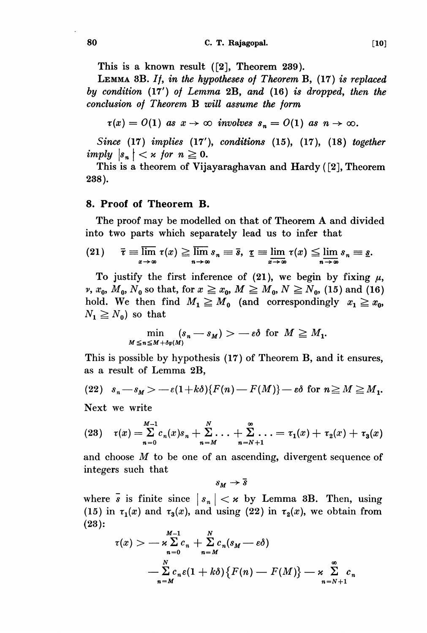This is a known result ([2), Theorem 239).

LEMMA 3B. If, in the hypotheses of Theorem B, (17) is replaced by condition  $(17')$  of Lemma 2B, and  $(16)$  is dropped, then the conclusion of Theorem B will assume the form

 $\tau(x) = O(1)$  as  $x \to \infty$  involves  $s_n = O(1)$  as  $n \to \infty$ .

Since (17) implies (17'), conditions (15), (17), (18) together imply  $|s_n| < \kappa$  for  $n \geq 0$ .

This is a theorem of Vijayaraghavan and Hardy ([2], Theorem 238).

#### 8. Proof of Theorem B.

The proof may be modelled on that of Theorem A and divided into two parts which separately lead us to infer that

(21) 
$$
\overline{\tau} \equiv \overline{\lim}_{x \to \infty} \tau(x) \ge \overline{\lim}_{n \to \infty} s_n \equiv \overline{s}, \ \underline{\tau} \equiv \underline{\lim}_{x \to \infty} \tau(x) \le \underline{\lim}_{n \to \infty} s_n \equiv \underline{s}.
$$

To justify the first inference of (21), we begin by fixing  $\mu$ ,  $v, x_0, M_0, N_0$  so that, for  $x \ge x_0, M \ge M_0, N \ge N_0$ , (15) and (16) hold. We then find  $M_1 \geq M_0$  (and correspondingly  $x_1 \geq x_0$ ,  $N_1 \geq N_0$  so that

$$
\min_{M \leq n \leq M + \delta \varphi(M)} (s_n - s_M) > -\varepsilon \delta \text{ for } M \geq M_1.
$$

This is possible by hypothesis (17) of Theorem B, and it ensures, as a result of Lemma 2B,

(22) 
$$
s_n - s_M > -\varepsilon(1 + k\delta)\{F(n) - F(M)\} - \varepsilon\delta
$$
 for  $n \ge M \ge M_1$ .

Next we write

 $\overline{I}$ 

(23) 
$$
\tau(x) = \sum_{n=0}^{M-1} c_n(x) s_n + \sum_{n=M}^{N} \ldots + \sum_{n=N+1}^{\infty} \ldots = \tau_1(x) + \tau_2(x) + \tau_3(x)
$$

and choose M to be one of an ascending, divergent sequence of integers such that

 $s_M \rightarrow \overline{s}$ 

where  $\bar{s}$  is finite since  $|s_n| < \kappa$  by Lemma 3B. Then, using (15) in  $\tau_1(x)$  and  $\tau_3(x)$ , and using (22) in  $\tau_2(x)$ , we obtain from (23):

$$
\tau(x) > -\kappa \sum_{n=0}^{M-1} c_n + \sum_{n=M}^{N} c_n (s_M - \varepsilon \delta)
$$
  
- 
$$
\sum_{n=M}^{N} c_n \varepsilon (1 + k \delta) \{ F(n) - F(M) \} - \kappa \sum_{n=N+1}^{\infty} c_n
$$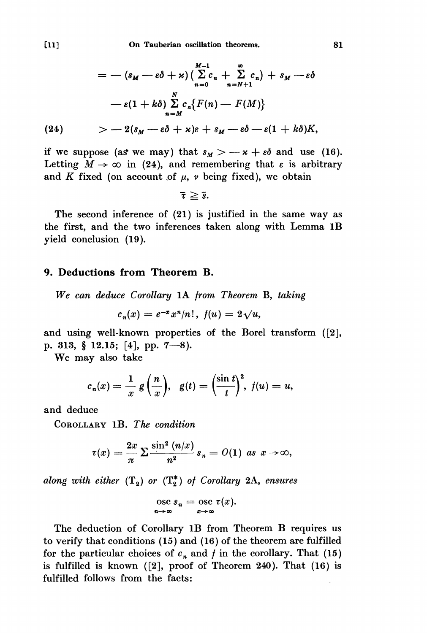$$
= - (s_M - \varepsilon \delta + \varkappa) \left( \sum_{n=0}^{M-1} c_n + \sum_{n=N+1}^{\infty} c_n \right) + s_M - \varepsilon \delta
$$
  

$$
- \varepsilon (1 + k \delta) \sum_{n=M}^{N} c_n \{ F(n) - F(M) \}
$$
  
(24) 
$$
> - 2(s_M - \varepsilon \delta + \varkappa) \varepsilon + s_M - \varepsilon \delta - \varepsilon (1 + k \delta) K,
$$

if we suppose (as we may) that  $s_M > -\varkappa + \varepsilon \delta$  and use (16). Letting  $M \to \infty$  in (24), and remembering that  $\varepsilon$  is arbitrary and K fixed (on account of  $\mu$ ,  $\nu$  being fixed), we obtain

 $\bar{\tau} \geq \bar{s}.$ 

The second inference of (21) is justified in the same way as the first, and the two inferences taken along with Lemma 1B yield conclusion (19).

#### 9. Déductions from Theorem B.

We can deduce Corollary lA from Theorem B, taking

$$
c_n(x) = e^{-x} x^n/n!, \ f(u) = 2\sqrt{u},
$$

and using well-known properties of the Borel transform ([2], p. 313, § 12.15; [4], pp. 7-8).

We may also take

$$
c_n(x) = \frac{1}{x} g\left(\frac{n}{x}\right), \quad g(t) = \left(\frac{\sin t}{t}\right)^2, \ f(u) = u,
$$

and deduce

COROLLARY 1B. The condition

$$
\tau(x)=\frac{2x}{\pi}\sum \frac{\sin^2{(n/x)}}{n^2}\,s_n=O(1)\ \text{as}\ \,x\to\infty,
$$

along with either  $(T_2)$  or  $(T_2^*)$  of Corollary 2A, ensures

$$
\operatorname{osc}_{n\to\infty} s_n = \operatorname{osc}_{x\to\infty} \tau(x).
$$

The deduction of Corollary 1B from Theorem B requires us to verify that conditions (15) and (16) of the theorem are fulfilled for the particular choices of  $c_n$  and f in the corollary. That (15) is fulfilled is known ([2], proof of Theorem 240). That (16) is fulfilled follows from the facts:

81